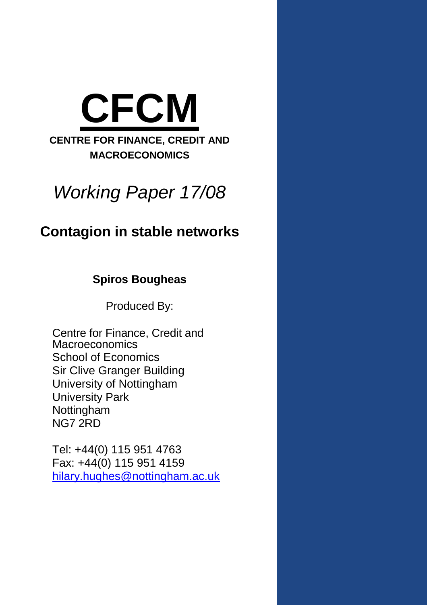

# *Working Paper 17/08*

# **Contagion in stable networks**

**Spiros Bougheas**

Produced By:

Centre for Finance, Credit and **Macroeconomics** School of Economics Sir Clive Granger Building University of Nottingham University Park Nottingham NG7 2RD

Tel: +44(0) 115 951 4763 Fax: +44(0) 115 951 4159 hilary.hughes@nottingham.ac.uk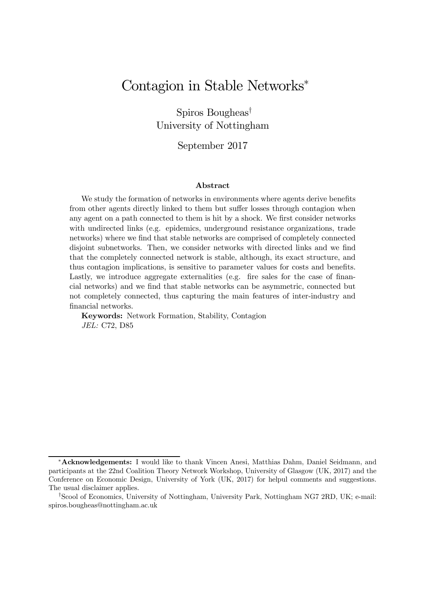# Contagion in Stable Networks<sup>\*</sup>

Spiros Bougheas<sup>†</sup> University of Nottingham

September 2017

#### Abstract

We study the formation of networks in environments where agents derive benefits from other agents directly linked to them but suffer losses through contagion when any agent on a path connected to them is hit by a shock. We first consider networks with undirected links (e.g. epidemics, underground resistance organizations, trade networks) where we find that stable networks are comprised of completely connected disjoint subnetworks. Then, we consider networks with directed links and we find that the completely connected network is stable, although, its exact structure, and thus contagion implications, is sensitive to parameter values for costs and benefits. Lastly, we introduce aggregate externalities (e.g. fire sales for the case of financial networks) and we find that stable networks can be asymmetric, connected but not completely connected, thus capturing the main features of inter-industry and financial networks.

Keywords: Network Formation, Stability, Contagion *JEL:* C72, D85

<sup>\*</sup>**Acknowledgements:** I would like to thank Vincen Anesi, Matthias Dahm, Daniel Seidmann, and participants at the 22nd Coalition Theory Network Workshop, University of Glasgow (UK, 2017) and the Conference on Economic Design, University of York (UK, 2017) for helpul comments and suggestions. The usual disclaimer applies.

<sup>&</sup>lt;sup>†</sup>Scool of Economics, University of Nottingham, University Park, Nottingham NG7 2RD, UK; e-mail: spiros.bougheas@nottingham.ac.uk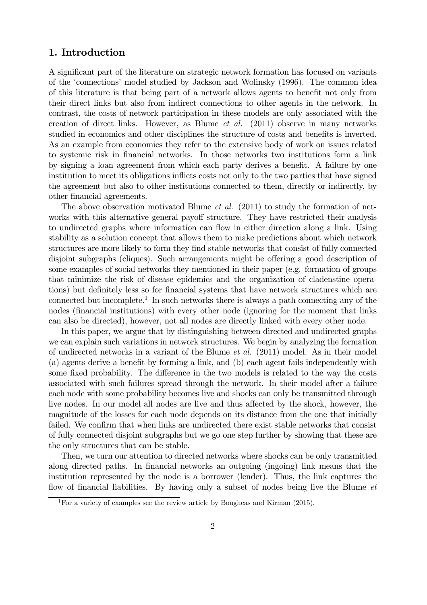# 1. Introduction

A significant part of the literature on strategic network formation has focused on variants of the 'connections' model studied by Jackson and Wolinsky (1996). The common idea of this literature is that being part of a network allows agents to benefit not only from their direct links but also from indirect connections to other agents in the network. In contrast, the costs of network participation in these models are only associated with the creation of direct links. However, as Blume *et al.* (2011) observe in many networks studied in economics and other disciplines the structure of costs and benefits is inverted. As an example from economics they refer to the extensive body of work on issues related to systemic risk in financial networks. In those networks two institutions form a link by signing a loan agreement from which each party derives a benefit. A failure by one institution to meet its obligations inflicts costs not only to the two parties that have signed the agreement but also to other institutions connected to them, directly or indirectly, by other financial agreements.

The above observation motivated Blume *et al.* (2011) to study the formation of networks with this alternative general payoff structure. They have restricted their analysis to undirected graphs where information can flow in either direction along a link. Using stability as a solution concept that allows them to make predictions about which network structures are more likely to form they find stable networks that consist of fully connected disjoint subgraphs (cliques). Such arrangements might be offering a good description of some examples of social networks they mentioned in their paper (e.g. formation of groups that minimize the risk of disease epidemics and the organization of cladenstine operations) but definitely less so for financial systems that have network structures which are connected but incomplete.<sup>1</sup> In such networks there is always a path connecting any of the nodes (financial institutions) with every other node (ignoring for the moment that links can also be directed), however, not all nodes are directly linked with every other node.

In this paper, we argue that by distinguishing between directed and undirected graphs we can explain such variations in network structures. We begin by analyzing the formation of undirected networks in a variant of the Blume *et al.* (2011) model. As in their model (a) agents derive a benefit by forming a link, and (b) each agent fails independently with some fixed probability. The difference in the two models is related to the way the costs associated with such failures spread through the network. In their model after a failure each node with some probability becomes live and shocks can only be transmitted through live nodes. In our model all nodes are live and thus affected by the shock, however, the magnitude of the losses for each node depends on its distance from the one that initially failed. We confirm that when links are undirected there exist stable networks that consist of fully connected disjoint subgraphs but we go one step further by showing that these are the only structures that can be stable.

Then, we turn our attention to directed networks where shocks can be only transmitted along directed paths. In financial networks an outgoing (ingoing) link means that the institution represented by the node is a borrower (lender). Thus, the link captures the flow of financial liabilities. By having only a subset of nodes being live the Blume *et* 

<sup>1</sup>For a variety of examples see the review article by Bougheas and Kirman (2015).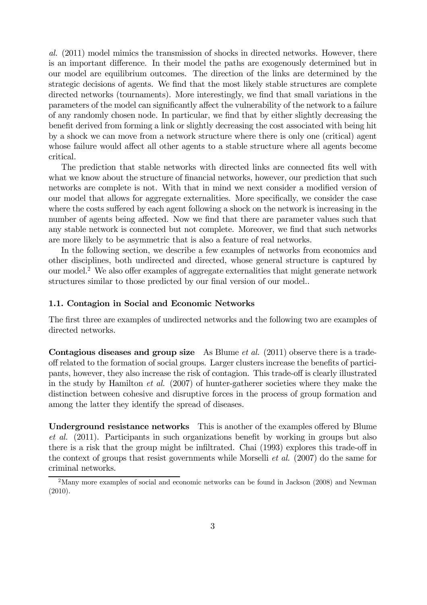*al.* (2011) model mimics the transmission of shocks in directed networks. However, there is an important difference. In their model the paths are exogenously determined but in our model are equilibrium outcomes. The direction of the links are determined by the strategic decisions of agents. We find that the most likely stable structures are complete directed networks (tournaments). More interestingly, we find that small variations in the parameters of the model can significantly affect the vulnerability of the network to a failure of any randomly chosen node. In particular, we find that by either slightly decreasing the benefit derived from forming a link or slightly decreasing the cost associated with being hit by a shock we can move from a network structure where there is only one (critical) agent whose failure would affect all other agents to a stable structure where all agents become critical.

The prediction that stable networks with directed links are connected fits well with what we know about the structure of financial networks, however, our prediction that such networks are complete is not. With that in mind we next consider a modified version of our model that allows for aggregate externalities. More specifically, we consider the case where the costs suffered by each agent following a shock on the network is increasing in the number of agents being affected. Now we find that there are parameter values such that any stable network is connected but not complete. Moreover, we find that such networks are more likely to be asymmetric that is also a feature of real networks.

In the following section, we describe a few examples of networks from economics and other disciplines, both undirected and directed, whose general structure is captured by our model.<sup>2</sup> We also offer examples of aggregate externalities that might generate network structures similar to those predicted by our final version of our model..

# 1.1. Contagion in Social and Economic Networks

The first three are examples of undirected networks and the following two are examples of directed networks.

Contagious diseases and group size As Blume *et al.* (2011) observe there is a tradeoff related to the formation of social groups. Larger clusters increase the benefits of participants, however, they also increase the risk of contagion. This trade-off is clearly illustrated in the study by Hamilton *et al.* (2007) of hunter-gatherer societies where they make the distinction between cohesive and disruptive forces in the process of group formation and among the latter they identify the spread of diseases.

Underground resistance networks This is another of the examples offered by Blume *et al.* (2011). Participants in such organizations benefit by working in groups but also there is a risk that the group might be infiltrated. Chai (1993) explores this trade-off in the context of groups that resist governments while Morselli *et al.* (2007) do the same for criminal networks.

<sup>&</sup>lt;sup>2</sup>Many more examples of social and economic networks can be found in Jackson (2008) and Newman (2010).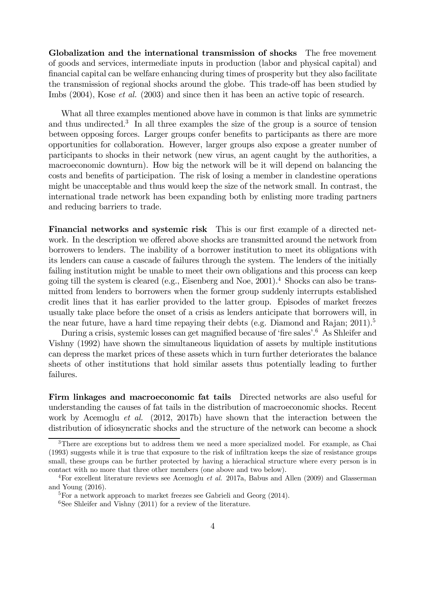Globalization and the international transmission of shocks The free movement of goods and services, intermediate inputs in production (labor and physical capital) and financial capital can be welfare enhancing during times of prosperity but they also facilitate the transmission of regional shocks around the globe. This trade-off has been studied by Imbs (2004), Kose *et al.* (2003) and since then it has been an active topic of research.

What all three examples mentioned above have in common is that links are symmetric and thus undirected.<sup>3</sup> In all three examples the size of the group is a source of tension between opposing forces. Larger groups confer benefits to participants as there are more opportunities for collaboration. However, larger groups also expose a greater number of participants to shocks in their network (new virus, an agent caught by the authorities, a macroeconomic downturn). How big the network will be it will depend on balancing the costs and benefits of participation. The risk of losing a member in clandestine operations might be unacceptable and thus would keep the size of the network small. In contrast, the international trade network has been expanding both by enlisting more trading partners and reducing barriers to trade.

Financial networks and systemic risk This is our first example of a directed network. In the description we offered above shocks are transmitted around the network from borrowers to lenders. The inability of a borrower institution to meet its obligations with its lenders can cause a cascade of failures through the system. The lenders of the initially failing institution might be unable to meet their own obligations and this process can keep going till the system is cleared (e.g., Eisenberg and Noe, 2001).<sup>4</sup> Shocks can also be transmitted from lenders to borrowers when the former group suddenly interrupts established credit lines that it has earlier provided to the latter group. Episodes of market freezes usually take place before the onset of a crisis as lenders anticipate that borrowers will, in the near future, have a hard time repaying their debts (e.g. Diamond and Rajan;  $2011$ ).<sup>5</sup>

During a crisis, systemic losses can get magnified because of 'fire sales'.<sup>6</sup> As Shleifer and Vishny (1992) have shown the simultaneous liquidation of assets by multiple institutions can depress the market prices of these assets which in turn further deteriorates the balance sheets of other institutions that hold similar assets thus potentially leading to further failures.

Firm linkages and macroeconomic fat tails Directed networks are also useful for understanding the causes of fat tails in the distribution of macroeconomic shocks. Recent work by Acemoglu *et al.* (2012, 2017b) have shown that the interaction between the distribution of idiosyncratic shocks and the structure of the network can become a shock

<sup>&</sup>lt;sup>3</sup>There are exceptions but to address them we need a more specialized model. For example, as Chai  $(1993)$  suggests while it is true that exposure to the risk of infiltration keeps the size of resistance groups small, these groups can be further protected by having a hierachical structure where every person is in contact with no more that three other members (one above and two below).

<sup>4</sup>For excellent literature reviews see Acemoglu *et al.* 2017a, Babus and Allen (2009) and Glasserman and Young (2016).

<sup>&</sup>lt;sup>5</sup>For a network approach to market freezes see Gabrieli and Georg  $(2014)$ .

<sup>&</sup>lt;sup>6</sup>See Shleifer and Vishny  $(2011)$  for a review of the literature.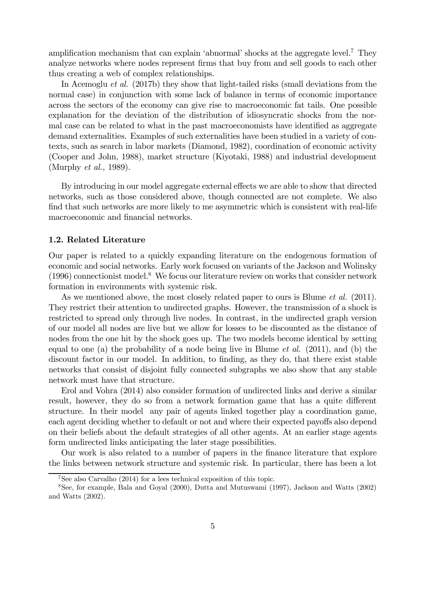amplification mechanism that can explain 'abnormal' shocks at the aggregate level.<sup>7</sup> They analyze networks where nodes represent firms that buy from and sell goods to each other thus creating a web of complex relationships.

In Acemoglu *et al.* (2017b) they show that light-tailed risks (small deviations from the normal case) in conjunction with some lack of balance in terms of economic importance across the sectors of the economy can give rise to macroeconomic fat tails. One possible explanation for the deviation of the distribution of idiosyncratic shocks from the normal case can be related to what in the past macroeconomists have identified as aggregate demand externalities. Examples of such externalities have been studied in a variety of contexts, such as search in labor markets (Diamond, 1982), coordination of economic activity (Cooper and John, 1988), market structure (Kiyotaki, 1988) and industrial development (Murphy *et al.,* 1989).

By introducing in our model aggregate external effects we are able to show that directed networks, such as those considered above, though connected are not complete. We also find that such networks are more likely to me asymmetric which is consistent with real-life macroeconomic and financial networks.

# 1.2. Related Literature

Our paper is related to a quickly expanding literature on the endogenous formation of economic and social networks. Early work focused on variants of the Jackson and Wolinsky  $(1996)$  connectionist model.<sup>8</sup> We focus our literature review on works that consider network formation in environments with systemic risk.

As we mentioned above, the most closely related paper to ours is Blume *et al.* (2011). They restrict their attention to undirected graphs. However, the transmission of a shock is restricted to spread only through live nodes. In contrast, in the undirected graph version of our model all nodes are live but we allow for losses to be discounted as the distance of nodes from the one hit by the shock goes up. The two models become identical by setting equal to one (a) the probability of a node being live in Blume *et al.* (2011), and (b) the discount factor in our model. In addition, to finding, as they do, that there exist stable networks that consist of disjoint fully connected subgraphs we also show that any stable network must have that structure.

Erol and Vohra (2014) also consider formation of undirected links and derive a similar result, however, they do so from a network formation game that has a quite different structure. In their model any pair of agents linked together play a coordination game, each agent deciding whether to default or not and where their expected payoffs also depend on their beliefs about the default strategies of all other agents. At an earlier stage agents form undirected links anticipating the later stage possibilities.

Our work is also related to a number of papers in the finance literature that explore the links between network structure and systemic risk. In particular, there has been a lot

<sup>7</sup>See also Carvalho (2014) for a lees technical exposition of this topic.

<sup>8</sup>See, for example, Bala and Goyal (2000), Dutta and Mutuswami (1997), Jackson and Watts (2002) and Watts (2002).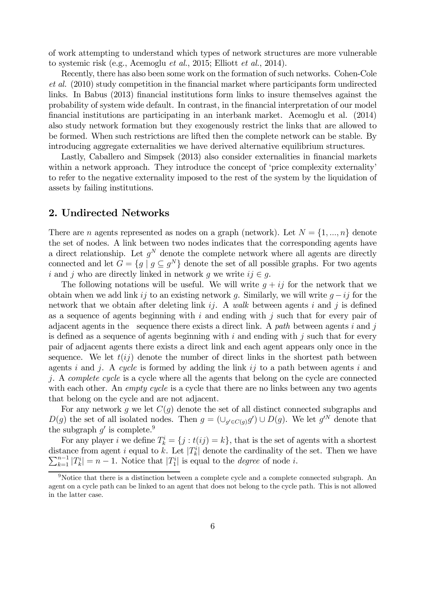of work attempting to understand which types of network structures are more vulnerable to systemic risk (e.g., Acemoglu *et al.*, 2015; Elliott *et al.*, 2014).

Recently, there has also been some work on the formation of such networks. Cohen-Cole *et al.* (2010) study competition in the financial market where participants form undirected links. In Babus (2013) financial institutions form links to insure themselves against the probability of system wide default. In contrast, in the financial interpretation of our model financial institutions are participating in an interbank market. Acemoglu et al. (2014) also study network formation but they exogenously restrict the links that are allowed to be formed. When such restrictions are lifted then the complete network can be stable. By introducing aggregate externalities we have derived alternative equilibrium structures.

Lastly, Caballero and Simpsek (2013) also consider externalities in financial markets within a network approach. They introduce the concept of 'price complexity externality' to refer to the negative externality imposed to the rest of the system by the liquidation of assets by failing institutions.

# 2. Undirected Networks

There are *n* agents represented as nodes on a graph (network). Let  $N = \{1, ..., n\}$  denote the set of nodes. A link between two nodes indicates that the corresponding agents have a direct relationship. Let  $g^N$  denote the complete network where all agents are directly connected and let  $G = \{ g \mid g \subseteq g^N \}$  denote the set of all possible graphs. For two agents i and j who are directly linked in network g we write  $ij \in g$ .

The following notations will be useful. We will write  $q + ij$  for the network that we obtain when we add link *ij* to an existing network g. Similarly, we will write  $g - ij$  for the network that we obtain after deleting link  $ij$ . A *walk* between agents  $i$  and  $j$  is defined as a sequence of agents beginning with  $i$  and ending with  $j$  such that for every pair of adjacent agents in the sequence there exists a direct link. A *path* between agents  $i$  and  $j$ is defined as a sequence of agents beginning with  $i$  and ending with  $j$  such that for every pair of adjacent agents there exists a direct link and each agent appears only once in the sequence. We let  $t(i)$  denote the number of direct links in the shortest path between agents  $i$  and  $j$ . A *cycle* is formed by adding the link  $i\dot{j}$  to a path between agents  $i$  and . A *complete cycle* is a cycle where all the agents that belong on the cycle are connected with each other. An *empty cycle* is a cycle that there are no links between any two agents that belong on the cycle and are not adjacent.

For any network g we let  $C(g)$  denote the set of all distinct connected subgraphs and  $D(g)$  the set of all isolated nodes. Then  $g = (\cup_{g' \in C(g)} g') \cup D(g)$ . We let  $g'^N$  denote that the subgraph  $g'$  is complete.<sup>9</sup>

For any player *i* we define  $T_k^i = \{j : t(ij) = k\}$ , that is the set of agents with a shortest distance from agent *i* equal to k. Let  $|T_k^i|$  denote the cardinality of the set. Then we have  $\sum_{k=1}^{n-1} |T_k^i| = n-1$ . Notice that  $|T_1^i|$  is equal to the *degree* of node *i*.

<sup>&</sup>lt;sup>9</sup>Notice that there is a distinction between a complete cycle and a complete connected subgraph. An agent on a cycle path can be linked to an agent that does not belong to the cycle path. This is not allowed in the latter case.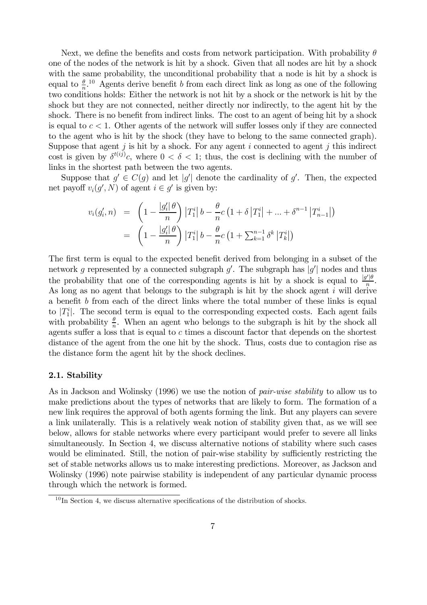Next, we define the benefits and costs from network participation. With probability  $\theta$ one of the nodes of the network is hit by a shock. Given that all nodes are hit by a shock with the same probability, the unconditional probability that a node is hit by a shock is equal to  $\frac{\theta}{n}$ .<sup>10</sup> Agents derive benefit b from each direct link as long as one of the following two conditions holds: Either the network is not hit by a shock or the network is hit by the shock but they are not connected, neither directly nor indirectly, to the agent hit by the shock. There is no benefit from indirect links. The cost to an agent of being hit by a shock is equal to  $c < 1$ . Other agents of the network will suffer losses only if they are connected to the agent who is hit by the shock (they have to belong to the same connected graph). Suppose that agent  $j$  is hit by a shock. For any agent  $i$  connected to agent  $j$  this indirect cost is given by  $\delta^{t(ij)}c$ , where  $0 < \delta < 1$ ; thus, the cost is declining with the number of links in the shortest path between the two agents.

Suppose that  $g' \in C(g)$  and let  $|g'|$  denote the cardinality of g'. Then, the expected net payoff  $v_i(g', N)$  of agent  $i \in g'$  is given by:

$$
v_i(g'_i, n) = \left(1 - \frac{|g'_i| \theta}{n}\right) |T_1^i| b - \frac{\theta}{n} c \left(1 + \delta |T_1^i| + \dots + \delta^{n-1} |T_{n-1}^i|\right)
$$
  
= 
$$
\left(1 - \frac{|g'_i| \theta}{n}\right) |T_1^i| b - \frac{\theta}{n} c \left(1 + \sum_{k=1}^{n-1} \delta^k |T_k^i|\right)
$$

The first term is equal to the expected benefit derived from belonging in a subset of the network g represented by a connected subgraph  $g'$ . The subgraph has  $|g'|$  nodes and thus the probability that one of the corresponding agents is hit by a shock is equal to  $\frac{|g'| \theta}{n}$ . As long as no agent that belongs to the subgraph is hit by the shock agent  $i$  will derive a benefit  $b$  from each of the direct links where the total number of these links is equal to  $|T_1^i|$ . The second term is equal to the corresponding expected costs. Each agent fails with probability  $\frac{\theta}{n}$ . When an agent who belongs to the subgraph is hit by the shock all agents suffer a loss that is equal to  $c$  times a discount factor that depends on the shortest distance of the agent from the one hit by the shock. Thus, costs due to contagion rise as the distance form the agent hit by the shock declines.

# 2.1. Stability

As in Jackson and Wolinsky (1996) we use the notion of *pair-wise stability* to allow us to make predictions about the types of networks that are likely to form. The formation of a new link requires the approval of both agents forming the link. But any players can severe a link unilaterally. This is a relatively weak notion of stability given that, as we will see below, allows for stable networks where every participant would prefer to severe all links simultaneously. In Section 4, we discuss alternative notions of stability where such cases would be eliminated. Still, the notion of pair-wise stability by sufficiently restricting the set of stable networks allows us to make interesting predictions. Moreover, as Jackson and Wolinsky (1996) note pairwise stability is independent of any particular dynamic process through which the network is formed.

 $10$ In Section 4, we discuss alternative specifications of the distribution of shocks.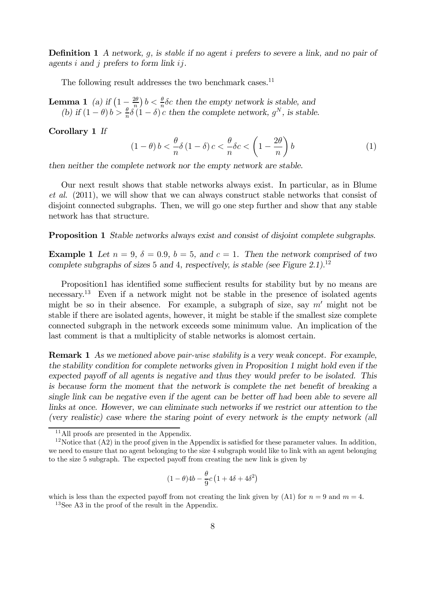**Definition 1** *A network, g, is stable if no agent i prefers to severe a link, and no pair of agents i* and *j* prefers to form link *ij*.

The following result addresses the two benchmark cases.<sup>11</sup>

**Lemma 1** (a) if  $\left(1 - \frac{2\theta}{n}\right)$  $\frac{2\theta}{n}$ )  $b < \frac{\theta}{n}$  $\frac{\theta}{n}$  *o* then the empty network is stable, and *(b)* if  $(1 - \theta) b > \frac{\theta}{n}$  $\frac{\theta}{n} \delta(1-\delta) c$  then the complete network,  $g^N$ , is stable.

Corollary 1 *If*

$$
(1 - \theta) b < \frac{\theta}{n} \delta (1 - \delta) c < \frac{\theta}{n} \delta c < \left(1 - \frac{2\theta}{n}\right) b
$$
 (1)

*then neither the complete network nor the empty network are stable.*

Our next result shows that stable networks always exist. In particular, as in Blume *et al.* (2011), we will show that we can always construct stable networks that consist of disjoint connected subgraphs. Then, we will go one step further and show that any stable network has that structure.

Proposition 1 *Stable networks always exist and consist of disjoint complete subgraphs.*

**Example 1** Let  $n = 9$ ,  $\delta = 0.9$ ,  $b = 5$ , and  $c = 1$ . Then the network comprised of two *complete subgraphs of sizes* 5 *and* 4*, respectively, is stable (see Figure 2.1).*<sup>12</sup>

Proposition1 has identified some sufficeent results for stability but by no means are necessary.<sup>13</sup> Even if a network might not be stable in the presence of isolated agents might be so in their absence. For example, a subgraph of size, say  $m'$  might not be stable if there are isolated agents, however, it might be stable if the smallest size complete connected subgraph in the network exceeds some minimum value. An implication of the last comment is that a multiplicity of stable networks is alomost certain.

Remark 1 *As we metioned above pair-wise stability is a very weak concept. For example, the stability condition for complete networks given in Proposition 1 might hold even if the* expected payoff of all agents is negative and thus they would prefer to be isolated. This *is because form the moment that the network is complete the net benefit of breaking a single link can be negative even if the agent can be better off had been able to severe all links at once. However, we can eliminate such networks if we restrict our attention to the (very realistic) case where the staring point of every network is the empty network (all*

$$
(1 - \theta)4b - \frac{\theta}{9}c(1 + 4\delta + 4\delta^2)
$$

<sup>13</sup>See A3 in the proof of the result in the Appendix.

<sup>&</sup>lt;sup>11</sup>All proofs are presented in the Appendix.

<sup>&</sup>lt;sup>12</sup>Notice that  $(A2)$  in the proof given in the Appendix is satisfied for these parameter values. In addition, we need to ensure that no agent belonging to the size 4 subgraph would like to link with an agent belonging to the size 5 subgraph. The expected payoff from creating the new link is given by

which is less than the expected payoff from not creating the link given by (A1) for  $n = 9$  and  $m = 4$ .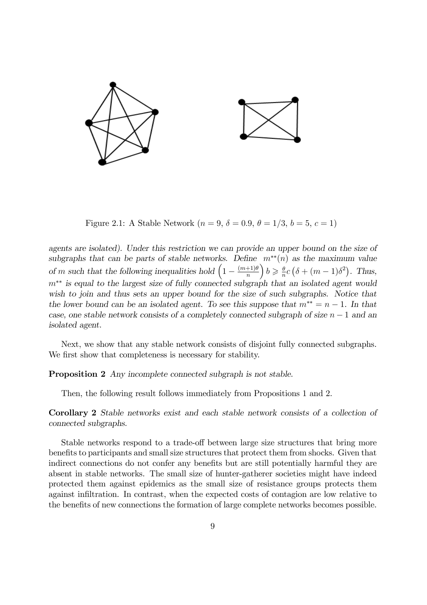

Figure 2.1: A Stable Network  $(n = 9, \delta = 0.9, \theta = 1/3, b = 5, c = 1)$ 

*agents are isolated). Under this restriction we can provide an upper bound on the size of* subgraphs that can be parts of stable networks. Define  $m^{**}(n)$  as the maximum value of *m* such that the following inequalities hold  $\left(1 - \frac{(m+1)\theta}{n}\right)$  $\boldsymbol{n}$  $b \geqslant \frac{\theta}{n}$  $\frac{\theta}{n}c\left(\delta + (m-1)\delta^2\right)$ . Thus,  $m^{**}$  is equal to the largest size of fully connected subgraph that an isolated agent would *wish to join and thus sets an upper bound for the size of such subgraphs. Notice that the lower bound can be an isolated agent. To see this suppose that*  $m^{**} = n - 1$ *. In that case, one stable network consists of a completely connected subgraph of size*  $n-1$  *and an isolated agent.*

Next, we show that any stable network consists of disjoint fully connected subgraphs. We first show that completeness is necessary for stability.

Proposition 2 *Any incomplete connected subgraph is not stable.*

Then, the following result follows immediately from Propositions 1 and 2.

Corollary 2 *Stable networks exist and each stable network consists of a collection of connected subgraphs.*

Stable networks respond to a trade-off between large size structures that bring more benefits to participants and small size structures that protect them from shocks. Given that indirect connections do not confer any benefits but are still potentially harmful they are absent in stable networks. The small size of hunter-gatherer societies might have indeed protected them against epidemics as the small size of resistance groups protects them against infiltration. In contrast, when the expected costs of contagion are low relative to the benefits of new connections the formation of large complete networks becomes possible.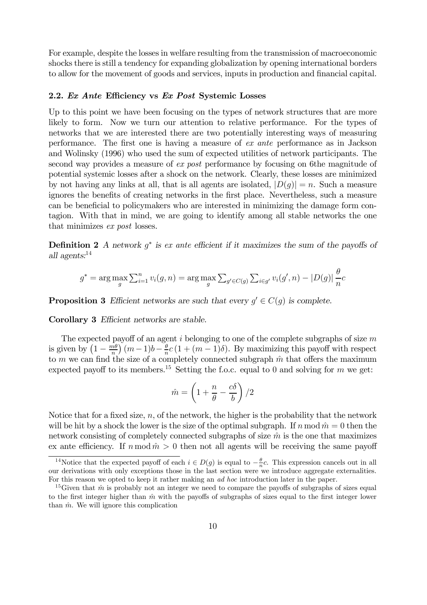For example, despite the losses in welfare resulting from the transmission of macroeconomic shocks there is still a tendency for expanding globalization by opening international borders to allow for the movement of goods and services, inputs in production and financial capital.

#### 2.2. *Ex Ante* Efficiency vs *Ex Post* Systemic Losses

Up to this point we have been focusing on the types of network structures that are more likely to form. Now we turn our attention to relative performance. For the types of networks that we are interested there are two potentially interesting ways of measuring performance. The first one is having a measure of *ex ante* performance as in Jackson and Wolinsky (1996) who used the sum of expected utilities of network participants. The second way provides a measure of *ex post* performance by focusing on 6the magnitude of potential systemic losses after a shock on the network. Clearly, these losses are minimized by not having any links at all, that is all agents are isolated,  $|D(q)| = n$ . Such a measure ignores the benefits of creating networks in the first place. Nevertheless, such a measure can be beneficial to policymakers who are interested in minimizing the damage form contagion. With that in mind, we are going to identify among all stable networks the one that minimizes *ex post* losses.

**Definition 2** A network  $g^*$  is ex ante efficient if it maximizes the sum of the payoffs of *all agents:*<sup>14</sup>

$$
g^* = \arg \max_{g} \sum_{i=1}^{n} v_i(g, n) = \arg \max_{g} \sum_{g' \in C(g)} \sum_{i \in g'} v_i(g', n) - |D(g)| \frac{\theta}{n}c
$$

**Proposition 3** *Efficient networks are such that every*  $g' \in C(g)$  *is complete.* 

Corollary 3 *Efficient networks are stable.* 

The expected payoff of an agent  $i$  belonging to one of the complete subgraphs of size  $m$ is given by  $\left(1 - \frac{m\theta}{n}\right)$  $\frac{m\theta}{n}\big)$   $(m-1)b-\frac{\theta}{n}$  $\frac{\theta}{n}c(1 + (m-1)\delta)$ . By maximizing this payoff with respect to  $m$  we can find the size of a completely connected subgraph  $\hat{m}$  that offers the maximum expected payoff to its members.<sup>15</sup> Setting the f.o.c. equal to 0 and solving for m we get:

$$
\hat{m} = \left(1 + \frac{n}{\theta} - \frac{c\delta}{b}\right)/2
$$

Notice that for a fixed size,  $n$ , of the network, the higher is the probability that the network will be hit by a shock the lower is the size of the optimal subgraph. If  $n \mod \hat{m} = 0$  then the network consisting of completely connected subgraphs of size  $\hat{m}$  is the one that maximizes ex ante efficiency. If  $n \mod m > 0$  then not all agents will be receiving the same payoff

<sup>&</sup>lt;sup>14</sup>Notice that the expected payoff of each  $i \in D(g)$  is equal to  $-\frac{\theta}{n}c$ . This expression cancels out in all our derivations with only exceptions those in the last section were we introduce aggregate externalities. For this reason we opted to keep it rather making an *ad hoc* introduction later in the paper.

<sup>&</sup>lt;sup>15</sup>Given that  $\hat{m}$  is probably not an integer we need to compare the payoffs of subgraphs of sizes equal to the first integer higher than  $\hat{m}$  with the payoffs of subgraphs of sizes equal to the first integer lower than  $\hat{m}$ . We will ignore this complication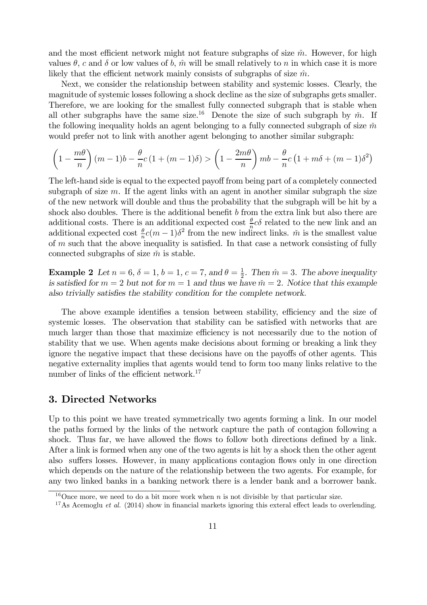and the most efficient network might not feature subgraphs of size  $\hat{m}$ . However, for high values  $\theta$ , c and  $\delta$  or low values of b,  $\hat{m}$  will be small relatively to n in which case it is more likely that the efficient network mainly consists of subgraphs of size  $\hat{m}$ .

Next, we consider the relationship between stability and systemic losses. Clearly, the magnitude of systemic losses following a shock decline as the size of subgraphs gets smaller. Therefore, we are looking for the smallest fully connected subgraph that is stable when all other subgraphs have the same size.<sup>16</sup> Denote the size of such subgraph by  $\tilde{m}$ . If the following inequality holds an agent belonging to a fully connected subgraph of size  $\tilde{m}$ would prefer not to link with another agent belonging to another similar subgraph:

$$
\left(1 - \frac{m\theta}{n}\right)(m-1)b - \frac{\theta}{n}c\left(1 + (m-1)\delta\right) > \left(1 - \frac{2m\theta}{n}\right)mb - \frac{\theta}{n}c\left(1 + m\delta + (m-1)\delta^2\right)
$$

The left-hand side is equal to the expected payoff from being part of a completely connected subgraph of size  $m$ . If the agent links with an agent in another similar subgraph the size of the new network will double and thus the probability that the subgraph will be hit by a shock also doubles. There is the additional benefit  $b$  from the extra link but also there are additional costs. There is an additional expected cost  $\frac{\theta}{n}c\delta$  related to the new link and an additional expected cost  $\frac{\theta}{n}c(m-1)\delta^2$  from the new indirect links.  $\tilde{m}$  is the smallest value of  $m$  such that the above inequality is satisfied. In that case a network consisting of fully connected subgraphs of size  $\tilde{m}$  is stable.

**Example 2** Let  $n = 6$ ,  $\delta = 1$ ,  $b = 1$ ,  $c = 7$ , and  $\theta = \frac{1}{2}$  $\frac{1}{2}$ . Then  $\hat{m} = 3$ . The above inequality *is satisfied for*  $m = 2$  *but not for*  $m = 1$  *and thus we have*  $\tilde{m} = 2$ *. Notice that this example* also trivially satisfies the stability condition for the complete network.

The above example identifies a tension between stability, efficiency and the size of systemic losses. The observation that stability can be satisfied with networks that are much larger than those that maximize efficiency is not necessarily due to the notion of stability that we use. When agents make decisions about forming or breaking a link they ignore the negative impact that these decisions have on the payoffs of other agents. This negative externality implies that agents would tend to form too many links relative to the number of links of the efficient network.<sup>17</sup>

# 3. Directed Networks

Up to this point we have treated symmetrically two agents forming a link. In our model the paths formed by the links of the network capture the path of contagion following a shock. Thus far, we have allowed the flows to follow both directions defined by a link. After a link is formed when any one of the two agents is hit by a shock then the other agent also suffers losses. However, in many applications contagion flows only in one direction which depends on the nature of the relationship between the two agents. For example, for any two linked banks in a banking network there is a lender bank and a borrower bank.

<sup>&</sup>lt;sup>16</sup>Once more, we need to do a bit more work when  $n$  is not divisible by that particular size.

<sup>&</sup>lt;sup>17</sup>As Acemoglu *et al.* (2014) show in financial markets ignoring this exteral effect leads to overlending.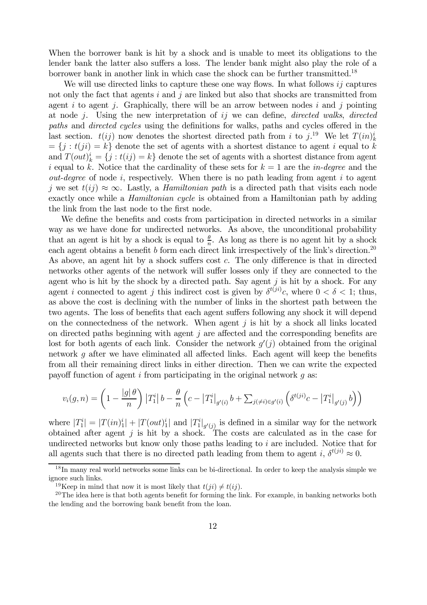When the borrower bank is hit by a shock and is unable to meet its obligations to the lender bank the latter also suffers a loss. The lender bank might also play the role of a borrower bank in another link in which case the shock can be further transmitted.<sup>18</sup>

We will use directed links to capture these one way flows. In what follows  $i\dot{j}$  captures not only the fact that agents  $i$  and  $j$  are linked but also that shocks are transmitted from agent  $i$  to agent  $j$ . Graphically, there will be an arrow between nodes  $i$  and  $j$  pointing at node *j*. Using the new interpretation of *ij* we can define, *directed walks*, *directed paths* and *directed cycles* using the definitions for walks, paths and cycles offered in the last section.  $t(ij)$  now denotes the shortest directed path from *i* to  $j$ .<sup>19</sup> We let  $T(in)_k^i$  $= \{j : t(ji) = k\}$  denote the set of agents with a shortest distance to agent *i* equal to k and  $T(out)_k^i = \{j : t(ij) = k\}$  denote the set of agents with a shortest distance from agent i equal to k. Notice that the cardinality of these sets for  $k = 1$  are the *in-degree* and the  $out-degree$  of node  $i$ , respectively. When there is no path leading from agent  $i$  to agent j we set  $t(i) \approx \infty$ . Lastly, a *Hamiltonian path* is a directed path that visits each node exactly once while a *Hamiltonian cycle* is obtained from a Hamiltonian path by adding the link from the last node to the first node.

We define the benefits and costs from participation in directed networks in a similar way as we have done for undirected networks. As above, the unconditional probability that an agent is hit by a shock is equal to  $\frac{\theta}{n}$ . As long as there is no agent hit by a shock each agent obtains a benefit  $b$  form each direct link irrespectively of the link's direction.<sup>20</sup> As above, an agent hit by a shock suffers cost  $c$ . The only difference is that in directed networks other agents of the network will suffer losses only if they are connected to the agent who is hit by the shock by a directed path. Say agent  $j$  is hit by a shock. For any agent *i* connected to agent *j* this indirect cost is given by  $\delta^{t(ji)}c$ , where  $0 < \delta < 1$ ; thus, as above the cost is declining with the number of links in the shortest path between the two agents. The loss of benefits that each agent suffers following any shock it will depend on the connectedness of the network. When agent  $j$  is hit by a shock all links located on directed paths beginning with agent  $j$  are affected and the corresponding benefits are lost for both agents of each link. Consider the network  $g'(j)$  obtained from the original network  $q$  after we have eliminated all affected links. Each agent will keep the benefits from all their remaining direct links in either direction. Then we can write the expected payoff function of agent  $i$  from participating in the original network  $q$  as:

$$
v_i(g, n) = \left(1 - \frac{|g| \theta}{n}\right) |T_1^i| b - \frac{\theta}{n} \left(c - |T_1^i|_{g'(i)} b + \sum_{j(\neq i) \in g'(i)} \left(\delta^{t(ji)} c - |T_1^i|_{g'(j)} b\right)\right)
$$

where  $|T_1^i| = |T(in)_1^i| + |T(out)_1^i|$  and  $|T_1^i|_{g'(j)}$  is defined in a similar way for the network obtained after agent  $j$  is hit by a shock. The costs are calculated as in the case for undirected networks but know only those paths leading to  $i$  are included. Notice that for all agents such that there is no directed path leading from them to agent i,  $\delta^{t(ji)} \approx 0$ .

<sup>&</sup>lt;sup>18</sup>In many real world networks some links can be bi-directional. In order to keep the analysis simple we ignore such links.

<sup>&</sup>lt;sup>19</sup>Keep in mind that now it is most likely that  $t(i) \neq t(i)$ .

 $20$ The idea here is that both agents benefit for forming the link. For example, in banking networks both the lending and the borrowing bank benefit from the loan.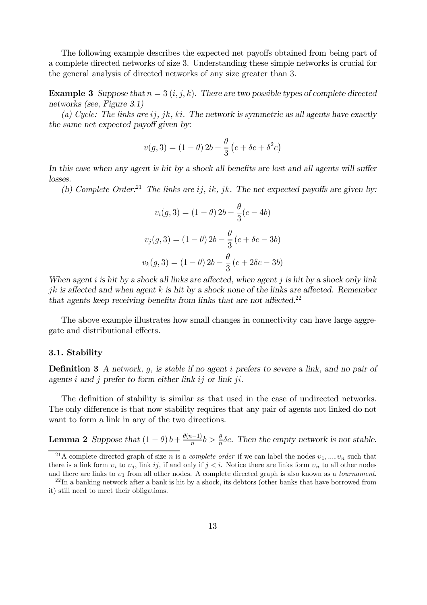The following example describes the expected net payoffs obtained from being part of a complete directed networks of size 3. Understanding these simple networks is crucial for the general analysis of directed networks of any size greater than 3.

**Example 3** Suppose that  $n = 3$   $(i, j, k)$ . There are two possible types of complete directed *networks (see, Figure 3.1)*

 $(a)$  *Cycle: The links are ij, jk, ki. The network is symmetric as all agents have exactly the same net expected payoff given by:* 

$$
v(g,3) = (1 - \theta) 2b - \frac{\theta}{3} (c + \delta c + \delta^{2} c)
$$

In this case when any agent is hit by a shock all benefits are lost and all agents will suffer *losses.*

*(b) Complete Order*:<sup>21</sup> *The links are ij, ik, jk. The net expected payoffs are given by:* 

$$
v_i(g, 3) = (1 - \theta) 2b - \frac{\theta}{3}(c - 4b)
$$

$$
v_j(g, 3) = (1 - \theta) 2b - \frac{\theta}{3}(c + \delta c - 3b)
$$

$$
v_k(g, 3) = (1 - \theta) 2b - \frac{\theta}{3}(c + 2\delta c - 3b)
$$

*When agent i* is hit by a shock all links are affected, when agent *j* is hit by a shock only link *jk* is affected and when agent k is hit by a shock none of the links are affected. Remember *that agents keep receiving benefits from links that are not affected.*<sup>22</sup>

The above example illustrates how small changes in connectivity can have large aggregate and distributional effects.

#### 3.1. Stability

**Definition 3** *A network, g, is stable if no agent i prefers to severe a link, and no pair of agents*  $i$  and  $j$  prefer to form either link  $ij$  or link  $ji$ .

The definition of stability is similar as that used in the case of undirected networks. The only difference is that now stability requires that any pair of agents not linked do not want to form a link in any of the two directions.

**Lemma 2** *Suppose that*  $(1 - \theta) b + \frac{\theta(n-1)}{n} b > \frac{\theta}{n}$  $\frac{\theta}{n}$  $\delta c$ . Then the empty network is not stable.

<sup>&</sup>lt;sup>21</sup>A complete directed graph of size *n* is a *complete order* if we can label the nodes  $v_1, ..., v_n$  such that there is a link form  $v_i$  to  $v_j$ , link ij, if and only if  $j < i$ . Notice there are links form  $v_n$  to all other nodes and there are links to  $v_1$  from all other nodes. A complete directed graph is also known as a *tournament*.

 $^{22}$ In a banking network after a bank is hit by a shock, its debtors (other banks that have borrowed from it) still need to meet their obligations.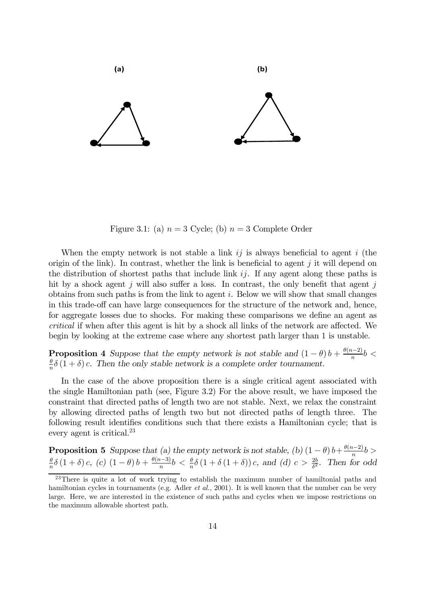

Figure 3.1: (a)  $n = 3$  Cycle; (b)  $n = 3$  Complete Order

When the empty network is not stable a link  $i\dot{j}$  is always beneficial to agent  $i$  (the origin of the link). In contrast, whether the link is beneficial to agent  $i$  it will depend on the distribution of shortest paths that include link  $ij$ . If any agent along these paths is hit by a shock agent  $j$  will also suffer a loss. In contrast, the only benefit that agent  $j$ obtains from such paths is from the link to agent  $i$ . Below we will show that small changes in this trade-off can have large consequences for the structure of the network and, hence, for aggregate losses due to shocks. For making these comparisons we define an agent as *critical* if when after this agent is hit by a shock all links of the network are affected. We begin by looking at the extreme case where any shortest path larger than 1 is unstable.

**Proposition 4** Suppose that the empty network is not stable and  $(1 - \theta)b + \frac{\theta(n-2)}{n}b$  $\theta$  $\frac{\theta}{n}\delta(1+\delta)c$ . Then the only stable network is a complete order tournament.

In the case of the above proposition there is a single critical agent associated with the single Hamiltonian path (see, Figure 3.2) For the above result, we have imposed the constraint that directed paths of length two are not stable. Next, we relax the constraint by allowing directed paths of length two but not directed paths of length three. The following result identifies conditions such that there exists a Hamiltonian cycle; that is every agent is critical.<sup>23</sup>

**Proposition 5** Suppose that (a) the empty network is not stable, (b)  $(1 - \theta) b + \frac{\theta(n-2)}{n} b$  $\theta$  $\frac{\theta}{n}\delta(1+\delta)c, (c) (1-\theta)b + \frac{\theta(n-3)}{n}b < \frac{\theta}{n}$  $\frac{\theta}{n}\delta\left(1+\delta\left(1+\delta\right)\right)c$ , and (d)  $c > \frac{2b}{\delta^2}$  $\frac{2b}{\delta^2}$ . Then for odd

<sup>&</sup>lt;sup>23</sup>There is quite a lot of work trying to establish the maximum number of hamiltonial paths and hamiltonian cycles in tournaments (e.g. Adler *et al.,* 2001). It is well known that the number can be very large. Here, we are interested in the existence of such paths and cycles when we impose restrictions on the maximum allowable shortest path.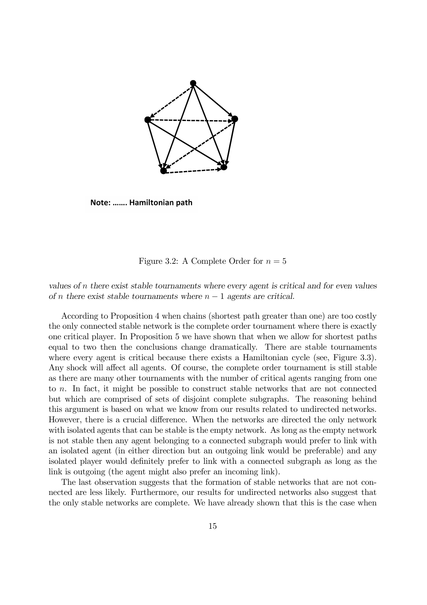

Note: ....... Hamiltonian path

#### Figure 3.2: A Complete Order for  $n=5$

*values of there exist stable tournaments where every agent is critical and for even values of n* there exist stable tournaments where  $n - 1$  agents are critical.

According to Proposition 4 when chains (shortest path greater than one) are too costly the only connected stable network is the complete order tournament where there is exactly one critical player. In Proposition 5 we have shown that when we allow for shortest paths equal to two then the conclusions change dramatically. There are stable tournaments where every agent is critical because there exists a Hamiltonian cycle (see, Figure 3.3). Any shock will affect all agents. Of course, the complete order tournament is still stable as there are many other tournaments with the number of critical agents ranging from one to  $n$ . In fact, it might be possible to construct stable networks that are not connected but which are comprised of sets of disjoint complete subgraphs. The reasoning behind this argument is based on what we know from our results related to undirected networks. However, there is a crucial difference. When the networks are directed the only network with isolated agents that can be stable is the empty network. As long as the empty network is not stable then any agent belonging to a connected subgraph would prefer to link with an isolated agent (in either direction but an outgoing link would be preferable) and any isolated player would definitely prefer to link with a connected subgraph as long as the link is outgoing (the agent might also prefer an incoming link).

The last observation suggests that the formation of stable networks that are not connected are less likely. Furthermore, our results for undirected networks also suggest that the only stable networks are complete. We have already shown that this is the case when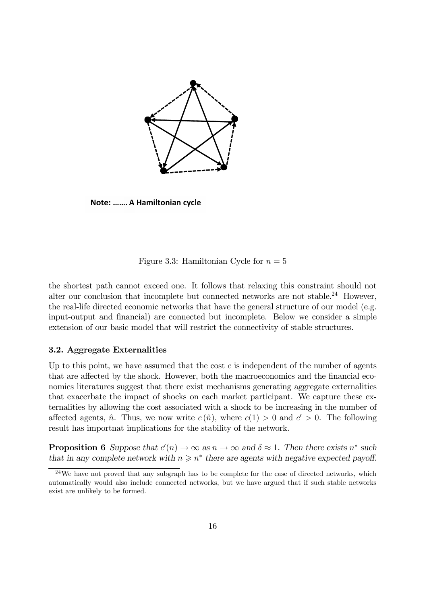

Note: ....... A Hamiltonian cycle

# Figure 3.3: Hamiltonian Cycle for  $n = 5$

the shortest path cannot exceed one. It follows that relaxing this constraint should not alter our conclusion that incomplete but connected networks are not stable.<sup>24</sup> However, the real-life directed economic networks that have the general structure of our model (e.g. input-output and financial) are connected but incomplete. Below we consider a simple extension of our basic model that will restrict the connectivity of stable structures.

# 3.2. Aggregate Externalities

Up to this point, we have assumed that the cost  $c$  is independent of the number of agents that are affected by the shock. However, both the macroeconomics and the financial economics literatures suggest that there exist mechanisms generating aggregate externalities that exacerbate the impact of shocks on each market participant. We capture these externalities by allowing the cost associated with a shock to be increasing in the number of affected agents,  $\hat{n}$ . Thus, we now write  $c(\hat{n})$ , where  $c(1) > 0$  and  $c' > 0$ . The following result has importnat implications for the stability of the network.

**Proposition 6** Suppose that  $c'(n) \to \infty$  as  $n \to \infty$  and  $\delta \approx 1$ . Then there exists  $n^*$  such that in any complete network with  $n \geqslant n^*$  there are agents with negative expected payoff.

<sup>&</sup>lt;sup>24</sup>We have not proved that any subgraph has to be complete for the case of directed networks, which automatically would also include connected networks, but we have argued that if such stable networks exist are unlikely to be formed.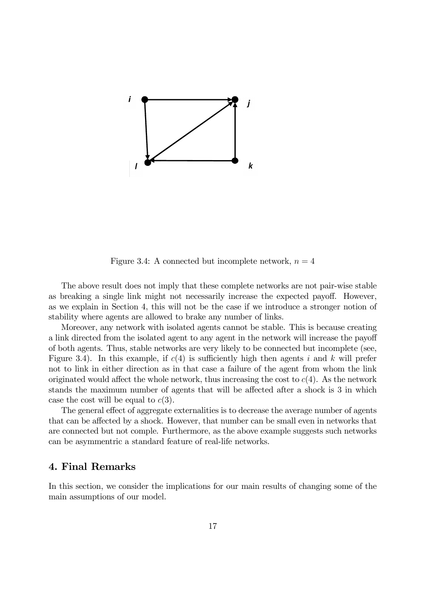

Figure 3.4: A connected but incomplete network,  $n = 4$ 

The above result does not imply that these complete networks are not pair-wise stable as breaking a single link might not necessarily increase the expected payoff. However, as we explain in Section 4, this will not be the case if we introduce a stronger notion of stability where agents are allowed to brake any number of links.

Moreover, any network with isolated agents cannot be stable. This is because creating a link directed from the isolated agent to any agent in the network will increase the payoff of both agents. Thus, stable networks are very likely to be connected but incomplete (see, Figure 3.4). In this example, if  $c(4)$  is sufficiently high then agents i and k will prefer not to link in either direction as in that case a failure of the agent from whom the link originated would affect the whole network, thus increasing the cost to  $c(4)$ . As the network stands the maximum number of agents that will be affected after a shock is 3 in which case the cost will be equal to  $c(3)$ .

The general effect of aggregate externalities is to decrease the average number of agents that can be affected by a shock. However, that number can be small even in networks that are connected but not comple. Furthermore, as the above example suggests such networks can be asymmentric a standard feature of real-life networks.

# 4. Final Remarks

In this section, we consider the implications for our main results of changing some of the main assumptions of our model.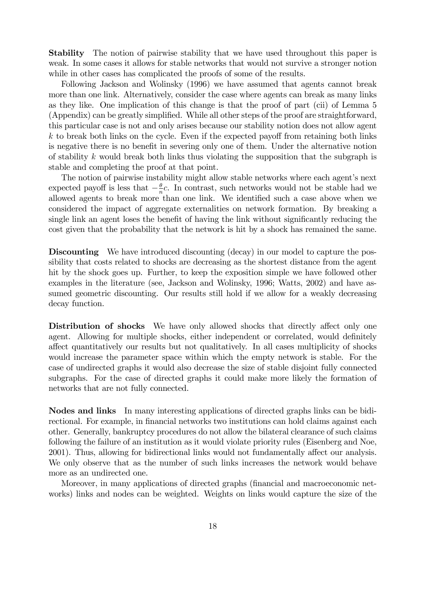Stability The notion of pairwise stability that we have used throughout this paper is weak. In some cases it allows for stable networks that would not survive a stronger notion while in other cases has complicated the proofs of some of the results.

Following Jackson and Wolinsky (1996) we have assumed that agents cannot break more than one link. Alternatively, consider the case where agents can break as many links as they like. One implication of this change is that the proof of part (cii) of Lemma 5  $(A$ ppendix) can be greatly simplified. While all other steps of the proof are straightforward, this particular case is not and only arises because our stability notion does not allow agent  $k$  to break both links on the cycle. Even if the expected payoff from retaining both links is negative there is no benefit in severing only one of them. Under the alternative notion of stability  $k$  would break both links thus violating the supposition that the subgraph is stable and completing the proof at that point.

The notion of pairwise instability might allow stable networks where each agent's next expected payoff is less that  $-\frac{\theta}{n}$  $\frac{\theta}{n}c$ . In contrast, such networks would not be stable had we allowed agents to break more than one link. We identified such a case above when we considered the impact of aggregate externalities on network formation. By breaking a single link an agent loses the benefit of having the link without significantly reducing the cost given that the probability that the network is hit by a shock has remained the same.

Discounting We have introduced discounting (decay) in our model to capture the possibility that costs related to shocks are decreasing as the shortest distance from the agent hit by the shock goes up. Further, to keep the exposition simple we have followed other examples in the literature (see, Jackson and Wolinsky, 1996; Watts, 2002) and have assumed geometric discounting. Our results still hold if we allow for a weakly decreasing decay function.

**Distribution of shocks** We have only allowed shocks that directly affect only one agent. Allowing for multiple shocks, either independent or correlated, would definitely affect quantitatively our results but not qualitatively. In all cases multiplicity of shocks would increase the parameter space within which the empty network is stable. For the case of undirected graphs it would also decrease the size of stable disjoint fully connected subgraphs. For the case of directed graphs it could make more likely the formation of networks that are not fully connected.

Nodes and links In many interesting applications of directed graphs links can be bidirectional. For example, in financial networks two institutions can hold claims against each other. Generally, bankruptcy procedures do not allow the bilateral clearance of such claims following the failure of an institution as it would violate priority rules (Eisenberg and Noe, 2001). Thus, allowing for bidirectional links would not fundamentally affect our analysis. We only observe that as the number of such links increases the network would behave more as an undirected one.

Moreover, in many applications of directed graphs (financial and macroeconomic networks) links and nodes can be weighted. Weights on links would capture the size of the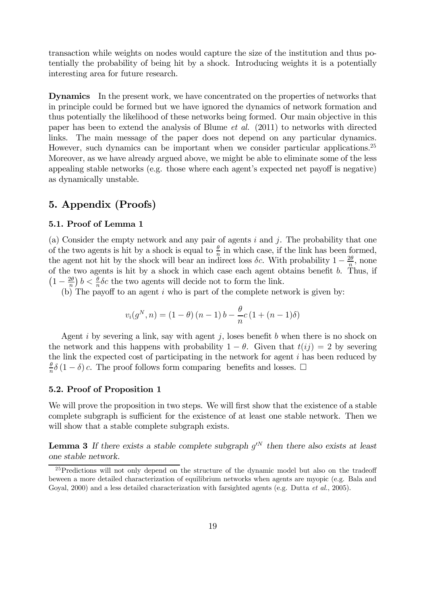transaction while weights on nodes would capture the size of the institution and thus potentially the probability of being hit by a shock. Introducing weights it is a potentially interesting area for future research.

Dynamics In the present work, we have concentrated on the properties of networks that in principle could be formed but we have ignored the dynamics of network formation and thus potentially the likelihood of these networks being formed. Our main objective in this paper has been to extend the analysis of Blume *et al.* (2011) to networks with directed links. The main message of the paper does not depend on any particular dynamics. However, such dynamics can be important when we consider particular applications.<sup>25</sup> Moreover, as we have already argued above, we might be able to eliminate some of the less appealing stable networks (e.g. those where each agent's expected net payoff is negative) as dynamically unstable.

# 5. Appendix (Proofs)

# 5.1. Proof of Lemma 1

(a) Consider the empty network and any pair of agents  $i$  and  $j$ . The probability that one of the two agents is hit by a shock is equal to  $\frac{\theta}{n}$  in which case, if the link has been formed, the agent not hit by the shock will bear an indirect loss  $\delta c$ . With probability  $1 - \frac{2\theta}{n}$  $\frac{2\theta}{n}$ , none of the two agents is hit by a shock in which case each agent obtains benefit  $b$ . Thus, if  $\left(1-\frac{2\theta}{n}\right)$  $\frac{2\theta}{n}$ )  $b < \frac{\theta}{n}$  $\frac{\theta}{n}$   $\delta c$  the two agents will decide not to form the link.

(b) The payoff to an agent  $i$  who is part of the complete network is given by:

$$
v_i(g^N, n) = (1 - \theta) (n - 1) b - \frac{\theta}{n} c (1 + (n - 1)\delta)
$$

Agent *i* by severing a link, say with agent *j*, loses benefit b when there is no shock on the network and this happens with probability  $1 - \theta$ . Given that  $t(ij) = 2$  by severing the link the expected cost of participating in the network for agent  $i$  has been reduced by  $\theta$  $\frac{\theta}{n}\delta(1-\delta)c$ . The proof follows form comparing benefits and losses.  $\Box$ 

# 5.2. Proof of Proposition 1

We will prove the proposition in two steps. We will first show that the existence of a stable complete subgraph is sufficient for the existence of at least one stable network. Then we will show that a stable complete subgraph exists.

**Lemma 3** If there exists a stable complete subgraph  $g^N$  then there also exists at least *one stable network.*

 $25$ Predictions will not only depend on the structure of the dynamic model but also on the tradeoff beween a more detailed characterization of equilibrium networks when agents are myopic (e.g. Bala and Goyal, 2000) and a less detailed characterization with farsighted agents (e.g. Dutta *et al.*, 2005).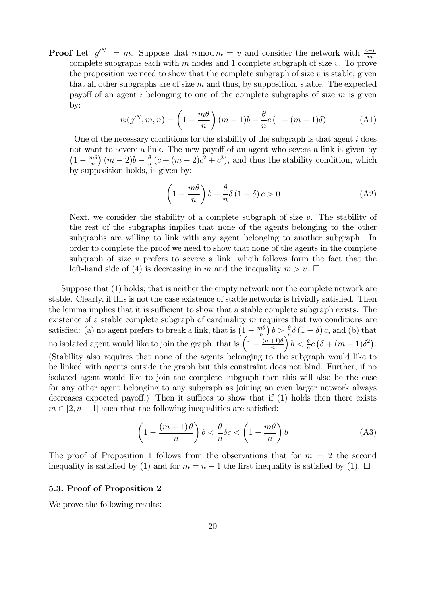**Proof** Let  $|g^N| = m$ . Suppose that  $n \mod m = v$  and consider the network with  $\frac{n-v}{m}$ complete subgraphs each with  $m$  nodes and 1 complete subgraph of size  $v$ . To prove the proposition we need to show that the complete subgraph of size  $v$  is stable, given that all other subgraphs are of size  $m$  and thus, by supposition, stable. The expected payoff of an agent i belonging to one of the complete subgraphs of size  $m$  is given by:

$$
v_i(g'^N, m, n) = \left(1 - \frac{m\theta}{n}\right)(m-1)b - \frac{\theta}{n}c\left(1 + (m-1)\delta\right)
$$
 (A1)

One of the necessary conditions for the stability of the subgraph is that agent  $i$  does not want to severe a link. The new payoff of an agent who severs a link is given by  $\left(1-\frac{m\theta}{n}\right)$  $\frac{m\theta}{n}\big)$   $(m-2)b-\frac{\theta}{n}$  $\frac{\theta}{n}(c+(m-2)c^2+c^3)$ , and thus the stability condition, which by supposition holds, is given by:

$$
\left(1 - \frac{m\theta}{n}\right)b - \frac{\theta}{n}\delta\left(1 - \delta\right)c > 0\tag{A2}
$$

Next, we consider the stability of a complete subgraph of size  $v$ . The stability of the rest of the subgraphs implies that none of the agents belonging to the other subgraphs are willing to link with any agent belonging to another subgraph. In order to complete the proof we need to show that none of the agents in the complete subgraph of size  $v$  prefers to severe a link, which follows form the fact that the left-hand side of (4) is decreasing in m and the inequality  $m > v$ .  $\Box$ 

Suppose that (1) holds; that is neither the empty network nor the complete network are stable. Clearly, if this is not the case existence of stable networks is trivially satisfied. Then the lemma implies that it is sufficient to show that a stable complete subgraph exists. The existence of a stable complete subgraph of cardinality  $m$  requires that two conditions are satisfied: (a) no agent prefers to break a link, that is  $(1 - \frac{m\theta}{n})$  $\left(\frac{m\theta}{n}\right)b > \frac{\theta}{n}$  $\frac{\theta}{n}\delta(1-\delta)c$ , and (b) that no isolated agent would like to join the graph, that is  $\left(1 - \frac{(m+1)\theta}{n}\right)$  $\boldsymbol{n}$  $\int b < \frac{\theta}{n}$  $\frac{\theta}{n}c\left(\delta+(m-1)\delta^2\right).$ (Stability also requires that none of the agents belonging to the subgraph would like to be linked with agents outside the graph but this constraint does not bind. Further, if no isolated agent would like to join the complete subgraph then this will also be the case for any other agent belonging to any subgraph as joining an even larger network always decreases expected payoff.) Then it suffices to show that if  $(1)$  holds then there exists  $m \in [2, n-1]$  such that the following inequalities are satisfied:

$$
\left(1 - \frac{(m+1)\theta}{n}\right)b < \frac{\theta}{n}\delta c < \left(1 - \frac{m\theta}{n}\right)b\tag{A3}
$$

The proof of Proposition 1 follows from the observations that for  $m = 2$  the second inequality is satisfied by (1) and for  $m = n - 1$  the first inequality is satisfied by (1).  $\Box$ 

# 5.3. Proof of Proposition 2

We prove the following results: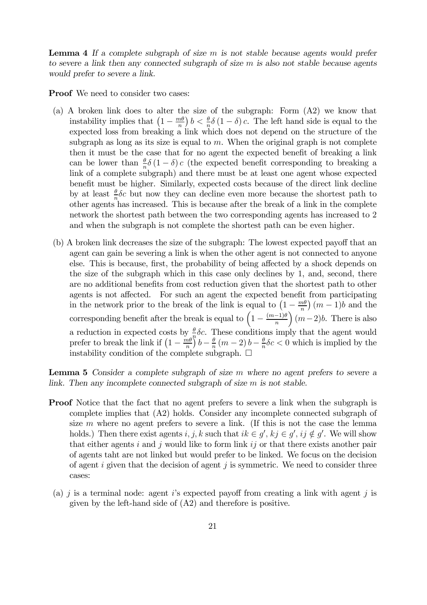Lemma 4 If a complete subgraph of size m is not stable because agents would prefer *to severe a link then any connected subgraph of size is also not stable because agents would prefer to severe a link.*

Proof We need to consider two cases:

- (a) A broken link does to alter the size of the subgraph: Form (A2) we know that instability implies that  $\left(1 - \frac{m\theta}{n}\right)$  $\frac{n\theta}{n}\big) b < \frac{\theta}{n}$  $\frac{\theta}{n}\delta(1-\delta)c$ . The left hand side is equal to the expected loss from breaking a link which does not depend on the structure of the subgraph as long as its size is equal to  $m$ . When the original graph is not complete then it must be the case that for no agent the expected benefit of breaking a link can be lower than  $\frac{\theta}{n}\delta(1-\delta)c$  (the expected benefit corresponding to breaking a link of a complete subgraph) and there must be at least one agent whose expected benefit must be higher. Similarly, expected costs because of the direct link decline by at least  $\frac{\theta}{n}\delta c$  but now they can decline even more because the shortest path to other agents has increased. This is because after the break of a link in the complete network the shortest path between the two corresponding agents has increased to 2 and when the subgraph is not complete the shortest path can be even higher.
- (b) A broken link decreases the size of the subgraph: The lowest expected payoff that an agent can gain be severing a link is when the other agent is not connected to anyone else. This is because, first, the probability of being affected by a shock depends on the size of the subgraph which in this case only declines by 1, and, second, there are no additional benefits from cost reduction given that the shortest path to other agents is not affected. For such an agent the expected benefit from participating in the network prior to the break of the link is equal to  $\left(1 - \frac{m\theta}{n}\right)$  $\binom{n\theta}{n}$   $(m-1)b$  and the corresponding benefit after the break is equal to  $\left(1 - \frac{(m-1)\theta}{n}\right)$  $\binom{n}{m-2}b$ . There is also a reduction in expected costs by  $\frac{\theta}{a} \delta c$ . These conditions imply that the agent would prefer to break the link if  $\left(1 - \frac{m\theta}{n}\right)$  $\frac{d}{n}$  $\left(\frac{\theta}{n}\right)^{n}$  $b-\frac{\theta}{n}$  $\frac{\theta}{n}$   $(m-2) b - \frac{\theta}{n}$  $\frac{\theta}{n} \delta c < 0$  which is implied by the instability condition of the complete subgraph.  $\Box$

Lemma 5 *Consider a complete subgraph of size where no agent prefers to severe a link. Then any incomplete connected subgraph of size is not stable.*

- **Proof** Notice that the fact that no agent prefers to severe a link when the subgraph is complete implies that (A2) holds. Consider any incomplete connected subgraph of size  $m$  where no agent prefers to severe a link. (If this is not the case the lemma holds.) Then there exist agents  $i, j, k$  such that  $ik \in g', kj \in g', ij \notin g'$ . We will show that either agents i and j would like to form link  $i\,j$  or that there exists another pair of agents taht are not linked but would prefer to be linked. We focus on the decision of agent  $i$  given that the decision of agent  $j$  is symmetric. We need to consider three cases:
- (a)  $j$  is a terminal node: agent  $i$ 's expected payoff from creating a link with agent  $j$  is given by the left-hand side of (A2) and therefore is positive.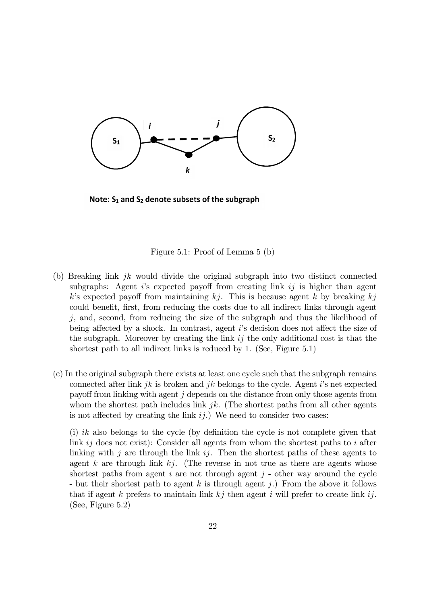

Note:  $S_1$  and  $S_2$  denote subsets of the subgraph

Figure 5.1: Proof of Lemma 5 (b)

- (b) Breaking link  $jk$  would divide the original subgraph into two distinct connected subgraphs: Agent  $i$ 's expected payoff from creating link  $i_j$  is higher than agent k's expected payoff from maintaining  $kj$ . This is because agent k by breaking  $kj$ could benefit, first, from reducing the costs due to all indirect links through agent  $j$ , and, second, from reducing the size of the subgraph and thus the likelihood of being affected by a shock. In contrast, agent  $i$ 's decision does not affect the size of the subgraph. Moreover by creating the link  $i\dot{j}$  the only additional cost is that the shortest path to all indirect links is reduced by 1. (See, Figure 5.1)
- (c) In the original subgraph there exists at least one cycle such that the subgraph remains connected after link  $jk$  is broken and  $jk$  belongs to the cycle. Agent i's net expected payoff from linking with agent  $j$  depends on the distance from only those agents from whom the shortest path includes link  $jk$ . (The shortest paths from all other agents is not affected by creating the link  $ij$ .) We need to consider two cases:

(i) ik also belongs to the cycle (by definition the cycle is not complete given that link  $i_j$  does not exist): Consider all agents from whom the shortest paths to  $i$  after linking with  $i$  are through the link  $i\dot{\jmath}$ . Then the shortest paths of these agents to agent k are through link  $kj$ . (The reverse in not true as there are agents whose shortest paths from agent  $i$  are not through agent  $j$  - other way around the cycle - but their shortest path to agent  $k$  is through agent  $j$ .) From the above it follows that if agent k prefers to maintain link  $kj$  then agent i will prefer to create link i. (See, Figure 5.2)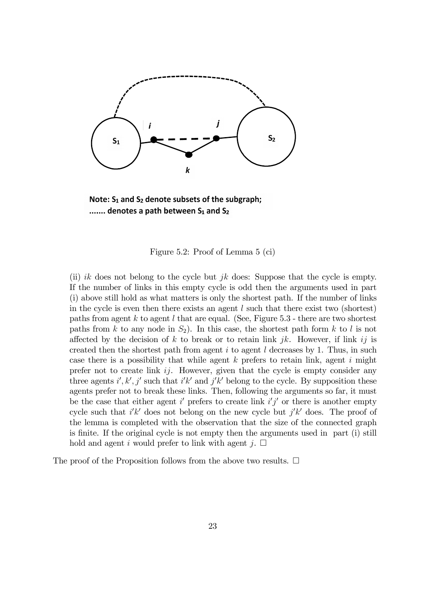

Note:  $S_1$  and  $S_2$  denote subsets of the subgraph; ....... denotes a path between S<sub>1</sub> and S<sub>2</sub>

Figure 5.2: Proof of Lemma 5 (ci)

(ii) ik does not belong to the cycle but  $jk$  does: Suppose that the cycle is empty. If the number of links in this empty cycle is odd then the arguments used in part (i) above still hold as what matters is only the shortest path. If the number of links in the cycle is even then there exists an agent  $l$  such that there exist two (shortest) paths from agent  $k$  to agent  $l$  that are equal. (See, Figure 5.3 - there are two shortest paths from k to any node in  $S_2$ ). In this case, the shortest path form k to l is not affected by the decision of k to break or to retain link  $jk$ . However, if link  $ij$  is created then the shortest path from agent  $i$  to agent  $l$  decreases by 1. Thus, in such case there is a possibility that while agent  $k$  prefers to retain link, agent  $i$  might prefer not to create link  $ij$ . However, given that the cycle is empty consider any three agents  $i', k', j'$  such that  $i'k'$  and  $j'k'$  belong to the cycle. By supposition these agents prefer not to break these links. Then, following the arguments so far, it must be the case that either agent  $i'$  prefers to create link  $i'j'$  or there is another empty cycle such that  $i'k'$  does not belong on the new cycle but  $j'k'$  does. The proof of the lemma is completed with the observation that the size of the connected graph is finite. If the original cycle is not empty then the arguments used in part (i) still hold and agent *i* would prefer to link with agent  $j$ .  $\Box$ 

The proof of the Proposition follows from the above two results.  $\Box$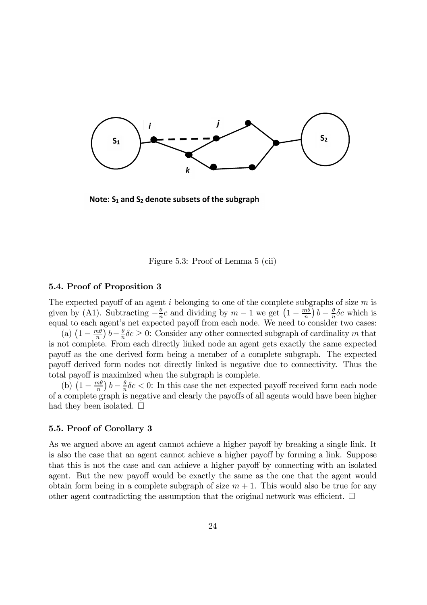

Note:  $S_1$  and  $S_2$  denote subsets of the subgraph

Figure 5.3: Proof of Lemma 5 (cii)

# 5.4. Proof of Proposition 3

The expected payoff of an agent  $i$  belonging to one of the complete subgraphs of size  $m$  is given by (A1). Subtracting  $-\frac{\theta}{n}$  $\frac{\theta}{n}c$  and dividing by  $m-1$  we get  $\left(1-\frac{m\theta}{n}\right)$  $\frac{m\theta}{n}$ )  $b-\frac{\theta}{n}$  $\frac{\theta}{n}$   $\delta c$  which is equal to each agent's net expected payoff from each node. We need to consider two cases:

(a)  $\left(1 - \frac{m\theta}{n}\right)$  $\left(\frac{m\theta}{n}\right)b-\frac{\theta}{n}$  $\frac{\theta}{n} \delta c \geq 0$ : Consider any other connected subgraph of cardinality m that is not complete. From each directly linked node an agent gets exactly the same expected payoff as the one derived form being a member of a complete subgraph. The expected payoff derived form nodes not directly linked is negative due to connectivity. Thus the total payoff is maximized when the subgraph is complete.

(b)  $\left(1 - \frac{m\theta}{n}\right)$  $\frac{m\theta}{n}\bigg(b-\frac{\theta}{n}$  $\frac{\theta}{n} \delta c$  < 0: In this case the net expected payoff received form each node of a complete graph is negative and clearly the payoffs of all agents would have been higher had they been isolated.  $\Box$ 

# 5.5. Proof of Corollary 3

As we argued above an agent cannot achieve a higher payoff by breaking a single link. It is also the case that an agent cannot achieve a higher payoff by forming a link. Suppose that this is not the case and can achieve a higher payoff by connecting with an isolated agent. But the new payoff would be exactly the same as the one that the agent would obtain form being in a complete subgraph of size  $m + 1$ . This would also be true for any other agent contradicting the assumption that the original network was efficient.  $\Box$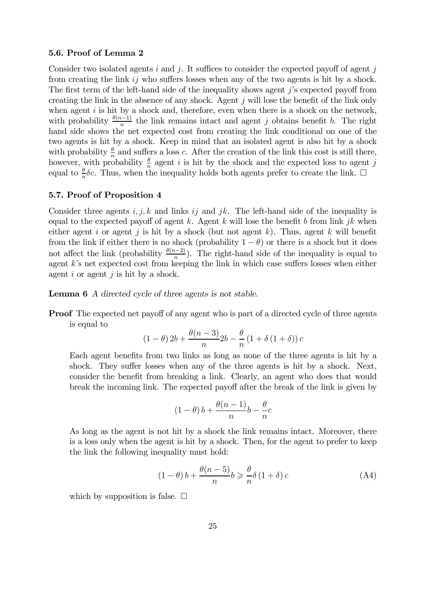# 5.6. Proof of Lemma 2

Consider two isolated agents  $i$  and  $j$ . It suffices to consider the expected payoff of agent  $j$ from creating the link  $i\dot{\jmath}$  who suffers losses when any of the two agents is hit by a shock. The first term of the left-hand side of the inequality shows agent  $j$ 's expected payoff from creating the link in the absence of any shock. Agent  $j$  will lose the benefit of the link only when agent  $i$  is hit by a shock and, therefore, even when there is a shock on the network, with probability  $\frac{\theta(n-1)}{n}$  the link remains intact and agent j obtains benefit b. The right hand side shows the net expected cost from creating the link conditional on one of the two agents is hit by a shock. Keep in mind that an isolated agent is also hit by a shock with probability  $\frac{\theta}{n}$  and suffers a loss c. After the creation of the link this cost is still there, however, with probability  $\frac{\theta}{n}$  agent *i* is hit by the shock and the expected loss to agent *j* equal to  $\frac{\theta}{n}\delta c$ . Thus, when the inequality holds both agents prefer to create the link.  $\Box$ 

# 5.7. Proof of Proposition 4

Consider three agents  $i, j, k$  and links  $i j$  and  $jk$ . The left-hand side of the inequality is equal to the expected payoff of agent k. Agent k will lose the benefit b from link  $jk$  when either agent *i* or agent *j* is hit by a shock (but not agent k). Thus, agent k will benefit from the link if either there is no shock (probability  $1 - \theta$ ) or there is a shock but it does not affect the link (probability  $\frac{\theta(n-2)}{n}$ ). The right-hand side of the inequality is equal to agent  $k$ 's net expected cost from keeping the link in which case suffers losses when either agent  $i$  or agent  $j$  is hit by a shock.

Lemma 6 *A directed cycle of three agents is not stable.*

**Proof** The expected net payoff of any agent who is part of a directed cycle of three agents is equal to

$$
(1 - \theta) 2b + \frac{\theta(n-3)}{n} 2b - \frac{\theta}{n} (1 + \delta (1 + \delta)) c
$$

Each agent benefits from two links as long as none of the three agents is hit by a shock. They suffer losses when any of the three agents is hit by a shock. Next, consider the benefit from breaking a link. Clearly, an agent who does that would break the incoming link. The expected payoff after the break of the link is given by

$$
(1 - \theta) b + \frac{\theta(n-1)}{n}b - \frac{\theta}{n}c
$$

As long as the agent is not hit by a shock the link remains intact. Moreover, there is a loss only when the agent is hit by a shock. Then, for the agent to prefer to keep the link the following inequality must hold:

$$
(1 - \theta) b + \frac{\theta(n - 5)}{n} b \geqslant \frac{\theta}{n} \delta (1 + \delta) c \tag{A4}
$$

which by supposition is false.  $\Box$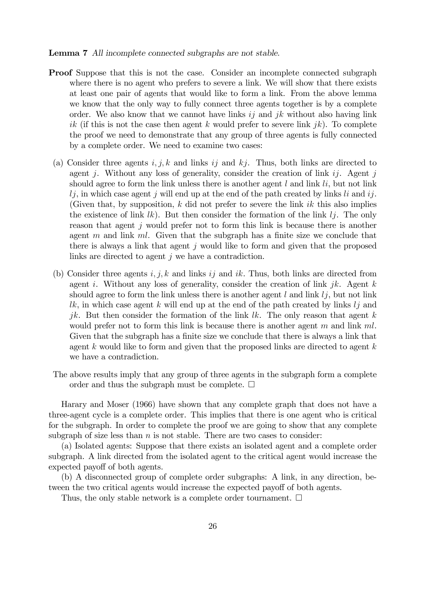#### Lemma 7 *All incomplete connected subgraphs are not stable.*

- Proof Suppose that this is not the case. Consider an incomplete connected subgraph where there is no agent who prefers to severe a link. We will show that there exists at least one pair of agents that would like to form a link. From the above lemma we know that the only way to fully connect three agents together is by a complete order. We also know that we cannot have links  $i\dot{\jmath}$  and  $jk$  without also having link ik (if this is not the case then agent k would prefer to severe link  $ik$ ). To complete the proof we need to demonstrate that any group of three agents is fully connected by a complete order. We need to examine two cases:
	- (a) Consider three agents  $i, j, k$  and links  $ij$  and  $kj$ . Thus, both links are directed to agent *j*. Without any loss of generality, consider the creation of link  $ij$ . Agent *j* should agree to form the link unless there is another agent  $l$  and link  $li$ , but not link  $l_j$ , in which case agent j will end up at the end of the path created by links  $l_i$  and  $i_j$ . (Given that, by supposition,  $k$  did not prefer to severe the link  $ik$  this also implies the existence of link  $lk$ ). But then consider the formation of the link  $lj$ . The only reason that agent  $j$  would prefer not to form this link is because there is another agent  $m$  and link  $ml$ . Given that the subgraph has a finite size we conclude that there is always a link that agent  $j$  would like to form and given that the proposed links are directed to agent  $j$  we have a contradiction.
	- (b) Consider three agents  $i, j, k$  and links  $i j$  and  $i k$ . Thus, both links are directed from agent i. Without any loss of generality, consider the creation of link  $jk$ . Agent k should agree to form the link unless there is another agent  $l$  and link  $l_j$ , but not link  $lk$ , in which case agent k will end up at the end of the path created by links  $lj$  and jk. But then consider the formation of the link  $lk$ . The only reason that agent k would prefer not to form this link is because there is another agent  $m$  and link  $ml$ . Given that the subgraph has a finite size we conclude that there is always a link that agent  $k$  would like to form and given that the proposed links are directed to agent  $k$ we have a contradiction.
- The above results imply that any group of three agents in the subgraph form a complete order and thus the subgraph must be complete.  $\Box$

Harary and Moser (1966) have shown that any complete graph that does not have a three-agent cycle is a complete order. This implies that there is one agent who is critical for the subgraph. In order to complete the proof we are going to show that any complete subgraph of size less than  $n$  is not stable. There are two cases to consider:

(a) Isolated agents: Suppose that there exists an isolated agent and a complete order subgraph. A link directed from the isolated agent to the critical agent would increase the expected payoff of both agents.

(b) A disconnected group of complete order subgraphs: A link, in any direction, between the two critical agents would increase the expected payoff of both agents.

Thus, the only stable network is a complete order tournament.  $\Box$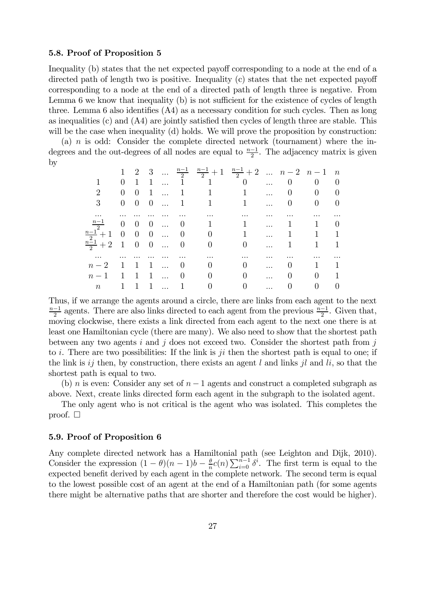# 5.8. Proof of Proposition 5

Inequality (b) states that the net expected payoff corresponding to a node at the end of a directed path of length two is positive. Inequality  $(c)$  states that the net expected payoff corresponding to a node at the end of a directed path of length three is negative. From Lemma 6 we know that inequality  $(b)$  is not sufficient for the existence of cycles of length three. Lemma 6 also identifies  $(A4)$  as a necessary condition for such cycles. Then as long as inequalities (c) and  $(A4)$  are jointly satisfied then cycles of length three are stable. This will be the case when inequality  $(d)$  holds. We will prove the proposition by construction:

(a)  $n$  is odd: Consider the complete directed network (tournament) where the indegrees and the out-degrees of all nodes are equal to  $\frac{n-1}{2}$ . The adjacency matrix is given by

|                             |                |                |  |              |                                  | 1 2 3 $\frac{n-1}{2}$ $\frac{n-1}{2}$ + 1 $\frac{n-1}{2}$ + 2 $n-2$ $n-1$ n       |            |                |                       |  |
|-----------------------------|----------------|----------------|--|--------------|----------------------------------|-----------------------------------------------------------------------------------|------------|----------------|-----------------------|--|
|                             |                |                |  |              |                                  | $\begin{matrix} 0 & 1 & 1 & \ldots & 1 & 1 & 0 & \ldots & 0 & 0 & 0 \end{matrix}$ |            |                |                       |  |
| $\mathcal{D}_{\mathcal{L}}$ |                |                |  |              |                                  | $0 \t 0 \t 1 \t  \t 1 \t 1 \t $                                                   |            |                | $0 \qquad 0 \qquad 0$ |  |
| 3 <sup>1</sup>              |                |                |  |              |                                  | $0 \t 0 \t 0 \t  \t 1 \t 1 \t $                                                   |            |                | $0 \qquad 0 \qquad 0$ |  |
|                             |                |                |  |              |                                  |                                                                                   |            |                |                       |  |
| $\frac{n-1}{2}$ 0 0 0  0    |                |                |  |              |                                  | 1 1  1 1                                                                          |            |                |                       |  |
|                             |                |                |  |              |                                  | $\frac{n-1}{2}+1$ 0 0 0  0 0 0 1  1 1 1                                           |            |                |                       |  |
| $\frac{n-1}{2}+2$ 1 0 0  0  |                |                |  |              | $\begin{array}{c} 0 \end{array}$ |                                                                                   |            |                | $1 \quad 1$           |  |
|                             |                |                |  |              |                                  |                                                                                   |            |                |                       |  |
| $n-2$ 1 1                   |                |                |  | $1 \ldots 0$ | $0\qquad 0$                      |                                                                                   | $\dddotsc$ |                | $0 \qquad 1 \qquad 1$ |  |
| $n-1$                       | $\overline{1}$ | $\overline{1}$ |  | 1  0         |                                  | $0 \qquad \qquad 0$                                                               | $\dddotsc$ | $\overline{0}$ | $\overline{0}$        |  |
| $\,n$                       | $\mathbf{1}$   |                |  | $1 \dots 1$  | $\overline{0}$                   | $\overline{0}$                                                                    |            | $\overline{0}$ | $\overline{0}$        |  |

Thus, if we arrange the agents around a circle, there are links from each agent to the next  $\frac{n-1}{2}$  agents. There are also links directed to each agent from the previous  $\frac{n-1}{2}$ . Given that, moving clockwise, there exists a link directed from each agent to the next one there is at least one Hamiltonian cycle (there are many). We also need to show that the shortest path between any two agents  $i$  and  $j$  does not exceed two. Consider the shortest path from  $j$ to i. There are two possibilities: If the link is  $ji$  then the shortest path is equal to one; if the link is  $i j$  then, by construction, there exists an agent  $l$  and links  $j l$  and  $l i$ , so that the shortest path is equal to two.

(b) *n* is even: Consider any set of  $n-1$  agents and construct a completed subgraph as above. Next, create links directed form each agent in the subgraph to the isolated agent.

The only agent who is not critical is the agent who was isolated. This completes the proof.  $\square$ 

# 5.9. Proof of Proposition 6

Any complete directed network has a Hamiltonial path (see Leighton and Dijk, 2010). Consider the expression  $(1 - \theta)(n - 1)b - \frac{\theta}{n}$  $\frac{\theta}{n}c(n)\sum_{i=0}^{n-1}\delta^i$ . The first term is equal to the expected benefit derived by each agent in the complete network. The second term is equal to the lowest possible cost of an agent at the end of a Hamiltonian path (for some agents there might be alternative paths that are shorter and therefore the cost would be higher).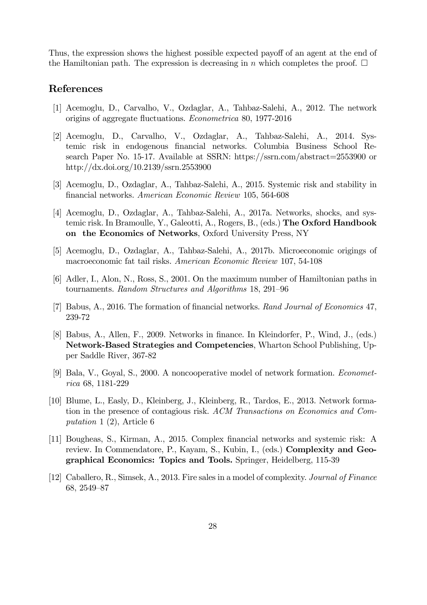Thus, the expression shows the highest possible expected payoff of an agent at the end of the Hamiltonian path. The expression is decreasing in  $n$  which completes the proof.  $\Box$ 

# References

- [1] Acemoglu, D., Carvalho, V., Ozdaglar, A., Tahbaz-Salehi, A., 2012. The network origins of aggregate ‡uctuations. *Econometrica* 80, 1977-2016
- [2] Acemoglu, D., Carvalho, V., Ozdaglar, A., Tahbaz-Salehi, A., 2014. Systemic risk in endogenous financial networks. Columbia Business School Research Paper No. 15-17. Available at SSRN: https://ssrn.com/abstract=2553900 or http://dx.doi.org/10.2139/ssrn.2553900
- [3] Acemoglu, D., Ozdaglar, A., Tahbaz-Salehi, A., 2015. Systemic risk and stability in …nancial networks. *American Economic Review* 105, 564-608
- [4] Acemoglu, D., Ozdaglar, A., Tahbaz-Salehi, A., 2017a. Networks, shocks, and systemic risk. In Bramoulle, Y., Galeotti, A., Rogers, B., (eds.) The Oxford Handbook on the Economics of Networks, Oxford University Press, NY
- [5] Acemoglu, D., Ozdaglar, A., Tahbaz-Salehi, A., 2017b. Microeconomic origings of macroeconomic fat tail risks. *American Economic Review* 107, 54-108
- [6] Adler, I., Alon, N., Ross, S., 2001. On the maximum number of Hamiltonian paths in tournaments. *Random Structures and Algorithms* 18, 291–96
- [7] Babus, A., 2016. The formation of financial networks. *Rand Journal of Economics* 47, 239-72
- [8] Babus, A., Allen, F., 2009. Networks in finance. In Kleindorfer, P., Wind, J., (eds.) Network-Based Strategies and Competencies, Wharton School Publishing, Upper Saddle River, 367-82
- [9] Bala, V., Goyal, S., 2000. A noncooperative model of network formation. *Econometrica* 68, 1181-229
- [10] Blume, L., Easly, D., Kleinberg, J., Kleinberg, R., Tardos, E., 2013. Network formation in the presence of contagious risk. *ACM Transactions on Economics and Computation* 1 (2), Article 6
- [11] Bougheas, S., Kirman, A., 2015. Complex financial networks and systemic risk: A review. In Commendatore, P., Kayam, S., Kubin, I., (eds.) Complexity and Geographical Economics: Topics and Tools. Springer, Heidelberg, 115-39
- [12] Caballero, R., Simsek, A., 2013. Fire sales in a model of complexity. *Journal of Finance* 68, 2549–87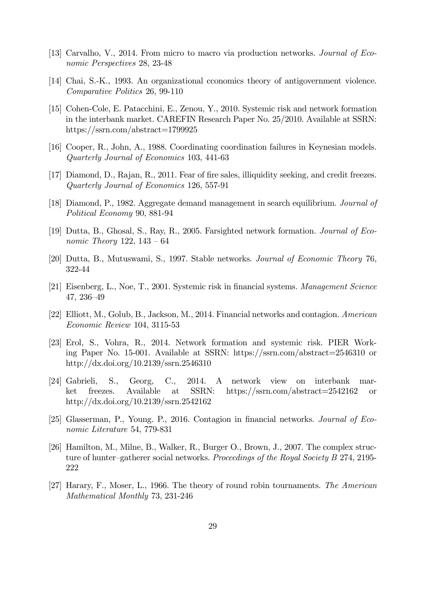- [13] Carvalho, V., 2014. From micro to macro via production networks. *Journal of Economic Perspectives* 28, 23-48
- [14] Chai, S.-K., 1993. An organizational cconomics theory of antigovernment violence. *Comparative Politics* 26, 99-110
- [15] Cohen-Cole, E. Patacchini, E., Zenou, Y., 2010. Systemic risk and network formation in the interbank market. CAREFIN Research Paper No. 25/2010. Available at SSRN: https://ssrn.com/abstract=1799925
- [16] Cooper, R., John, A., 1988. Coordinating coordination failures in Keynesian models. *Quarterly Journal of Economics* 103, 441-63
- [17] Diamond, D., Rajan, R., 2011. Fear of fire sales, illiquidity seeking, and credit freezes. *Quarterly Journal of Economics* 126, 557-91
- [18] Diamond, P., 1982. Aggregate demand management in search equilibrium. *Journal of Political Economy* 90, 881-94
- [19] Dutta, B., Ghosal, S., Ray, R., 2005. Farsighted network formation. *Journal of Economic Theory* 122, 143 – 64
- [20] Dutta, B., Mutuswami, S., 1997. Stable networks. *Journal of Economic Theory* 76, 322-44
- [21] Eisenberg, L., Noe, T., 2001. Systemic risk in financial systems. *Management Science* 47, 236–49
- [22] Elliott, M., Golub, B., Jackson, M., 2014. Financial networks and contagion. *American Economic Review* 104, 3115-53
- [23] Erol, S., Vohra, R., 2014. Network formation and systemic risk. PIER Working Paper No. 15-001. Available at SSRN: https://ssrn.com/abstract=2546310 or http://dx.doi.org/10.2139/ssrn.2546310
- [24] Gabrieli, S., Georg, C., 2014. A network view on interbank market freezes. Available at SSRN: https://ssrn.com/abstract=2542162 or http://dx.doi.org/10.2139/ssrn.2542162
- [25] Glasserman, P., Young. P., 2016. Contagion in financial networks. *Journal of Economic Literature* 54, 779-831
- [26] Hamilton, M., Milne, B., Walker, R., Burger O., Brown, J., 2007. The complex structure of hunter–gatherer social networks. *Proceedings of the Royal Society B* 274, 2195- 222
- [27] Harary, F., Moser, L., 1966. The theory of round robin tournaments. *The American Mathematical Monthly* 73, 231-246